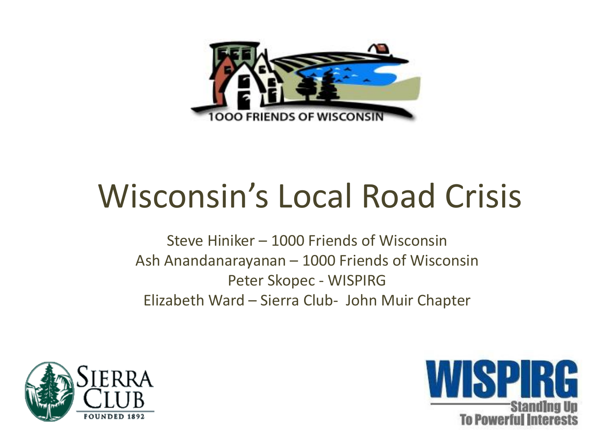

# Wisconsin's Local Road Crisis

Steve Hiniker – 1000 Friends of Wisconsin Ash Anandanarayanan – 1000 Friends of Wisconsin Peter Skopec - WISPIRG Elizabeth Ward – Sierra Club- John Muir Chapter



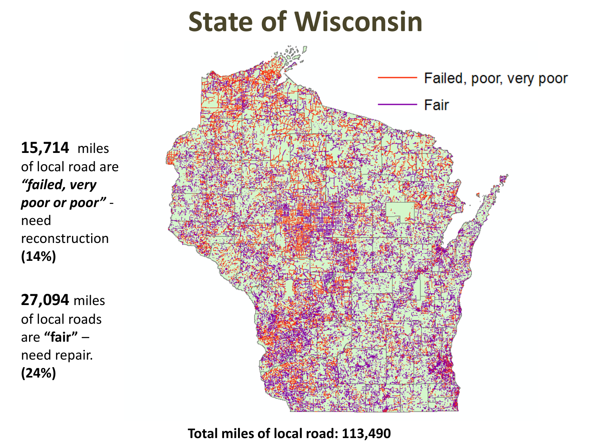### **State of Wisconsin**

Failed, poor, very poor Fair

**15,714** miles of local road are *"failed, very poor or poor"* need reconstruction **(14%)** 

**27,094** miles of local roads are **"fair"** – need repair. **(24%)**

**Total miles of local road: 113,490**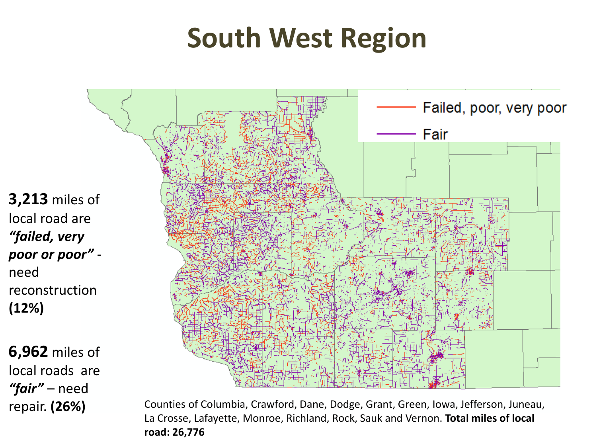### **South West Region**



repair. **(26%)**

Counties of Columbia, Crawford, Dane, Dodge, Grant, Green, Iowa, Jefferson, Juneau, La Crosse, Lafayette, Monroe, Richland, Rock, Sauk and Vernon. **Total miles of local road: 26,776**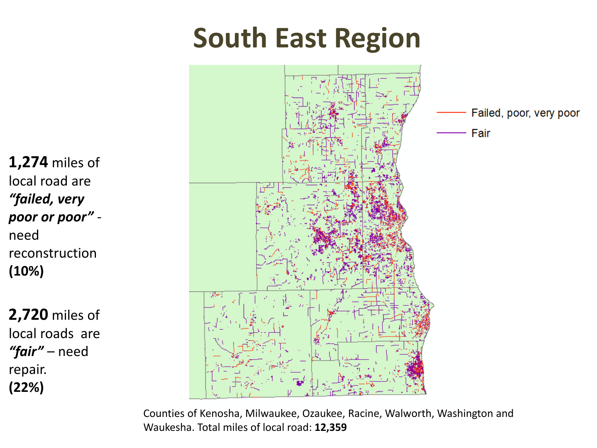### **South East Region**



**1,274** miles of local road are *"failed, very poor or poor"*  need reconstruction **(10%)** 

**2,720** miles of local roads are *"fair"* – need repair. **(22%)**

> Counties of Kenosha, Milwaukee, Ozaukee, Racine, Walworth, Washington and Waukesha. Total miles of local road: **12,359**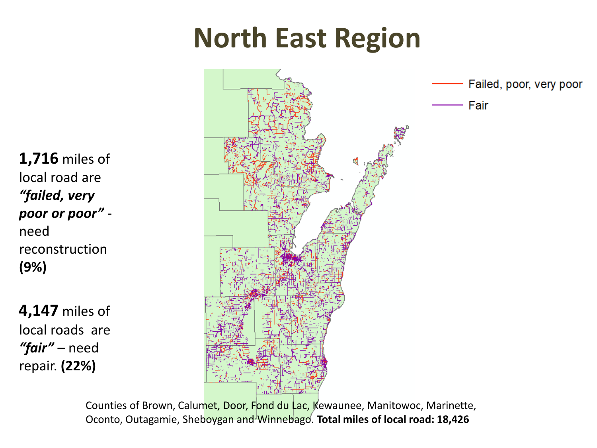### **North East Region**

Failed, poor, very poor Fair

Counties of Brown, Calumet, Door, Fond du Lac, Kewaunee, Manitowoc, Marinette, Oconto, Outagamie, Sheboygan and Winnebago. **Total miles of local road: 18,426** 

**1,716** miles of local road are *"failed, very poor or poor"*  need reconstruction **(9%)** 

**4,147** miles of local roads are *"fair"* – need repair. **(22%)**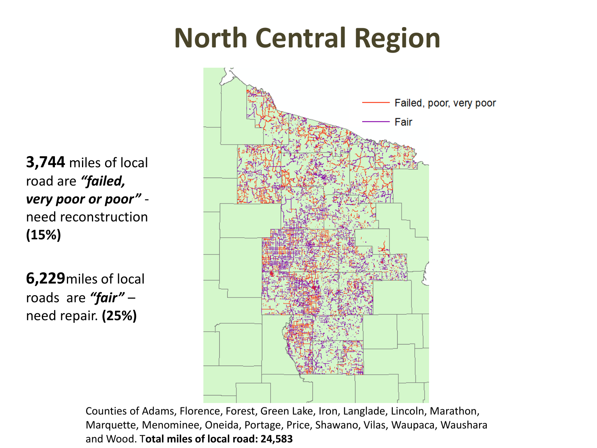## **North Central Region**

**3,744** miles of local road are *"failed, very poor or poor"*  need reconstruction **(15%)** 

**6,229**miles of local roads are *"fair"* – need repair. **(25%)**



Counties of Adams, Florence, Forest, Green Lake, Iron, Langlade, Lincoln, Marathon, Marquette, Menominee, Oneida, Portage, Price, Shawano, Vilas, Waupaca, Waushara and Wood. T**otal miles of local road: 24,583**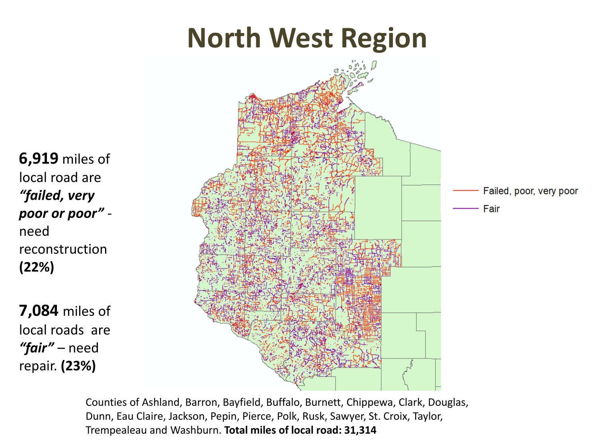

Counties of Ashland, Barron, Bayfield, Buffalo, Burnett, Chippewa, Clark, Douglas, Dunn, Eau Claire, Jackson, Pepin, Pierce, Polk, Rusk, Sawyer, St. Croix, Taylor, Trempealeau and Washburn. **Total miles of local road: 31,314**

need

**(22%)**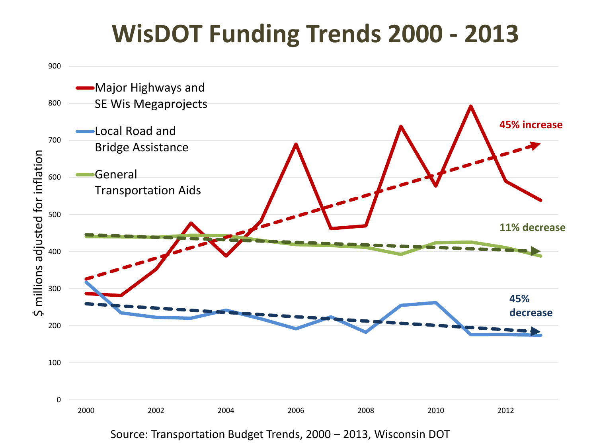### **WisDOT Funding Trends 2000 - 2013**



Source: Transportation Budget Trends, 2000 – 2013, Wisconsin DOT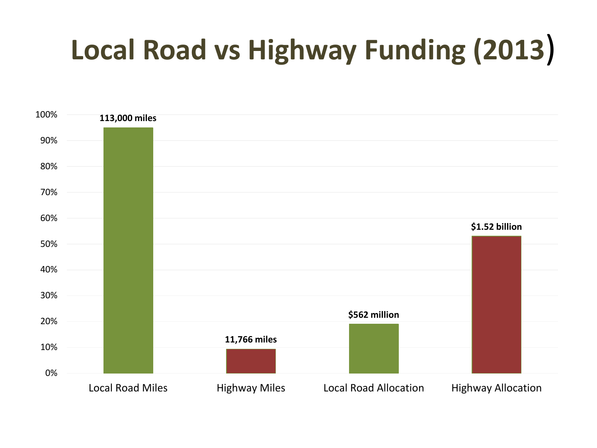## **Local Road vs Highway Funding (2013**)

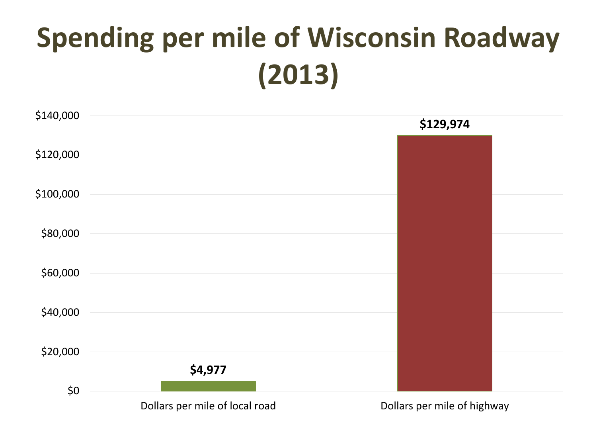# **Spending per mile of Wisconsin Roadway (2013)**

| \$140,000 |                                | \$129,974                   |
|-----------|--------------------------------|-----------------------------|
| \$120,000 |                                |                             |
| \$100,000 |                                |                             |
| \$80,000  |                                |                             |
| \$60,000  |                                |                             |
| \$40,000  |                                |                             |
| \$20,000  | \$4,977                        |                             |
| $$0$$     |                                |                             |
|           | Dollars per mile of local road | Dollars per mile of highway |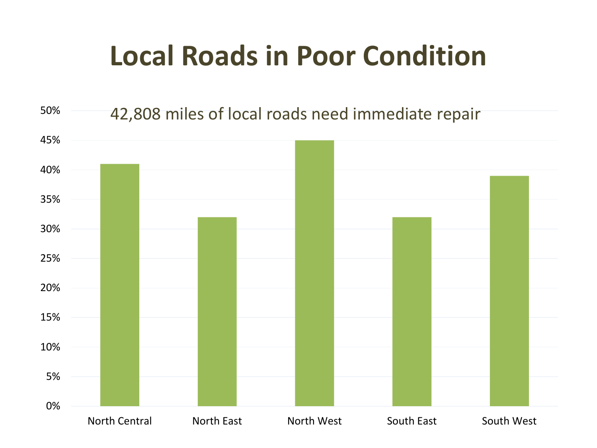### **Local Roads in Poor Condition**

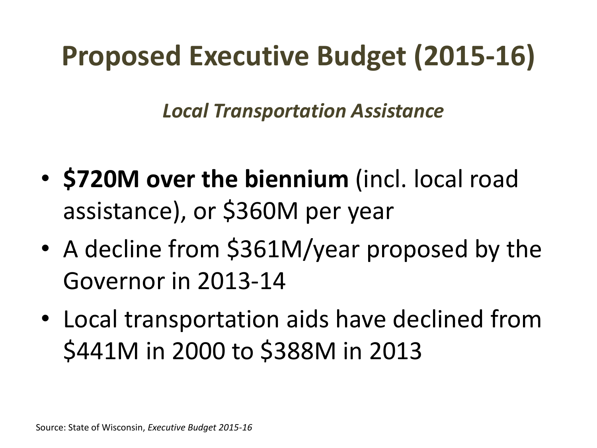## **Proposed Executive Budget (2015-16)**

*Local Transportation Assistance*

- **\$720M over the biennium** (incl. local road assistance), or \$360M per year
- A decline from \$361M/year proposed by the Governor in 2013-14
- Local transportation aids have declined from \$441M in 2000 to \$388M in 2013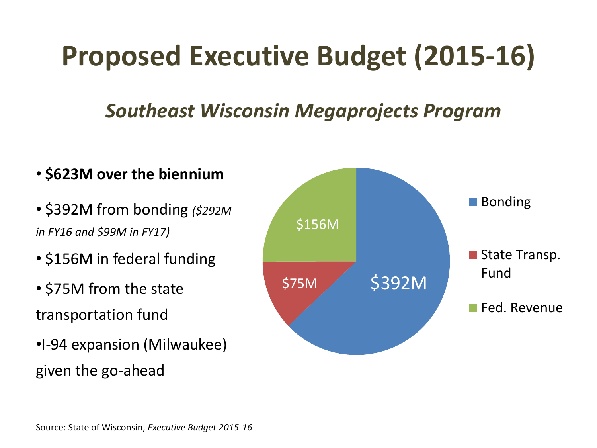## **Proposed Executive Budget (2015-16)**

### *Southeast Wisconsin Megaprojects Program*

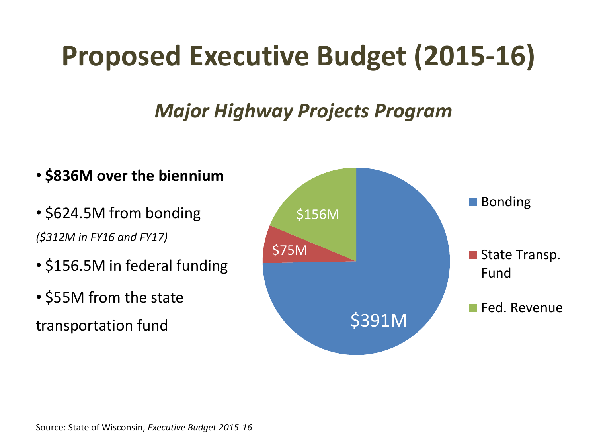## **Proposed Executive Budget (2015-16)**

### *Major Highway Projects Program*

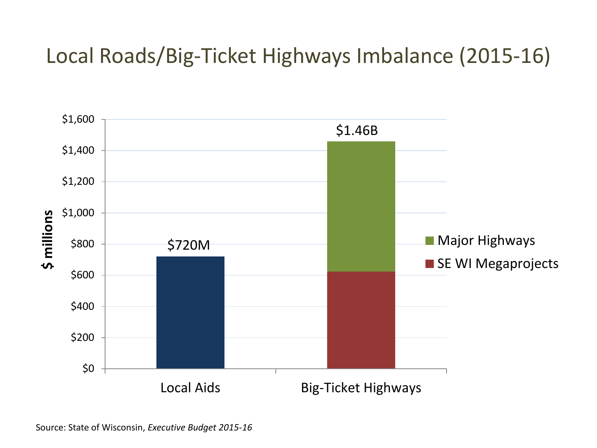### Local Roads/Big-Ticket Highways Imbalance (2015-16)

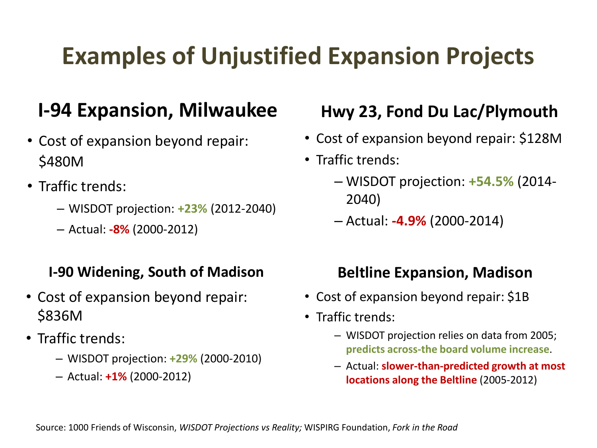### **Examples of Unjustified Expansion Projects**

### **I-94 Expansion, Milwaukee**

- Cost of expansion beyond repair: \$480M
- Traffic trends:
	- WISDOT projection: **+23%** (2012-2040)
	- Actual: **-8%** (2000-2012)

#### **I-90 Widening, South of Madison**

- Cost of expansion beyond repair: \$836M
- Traffic trends:
	- WISDOT projection: **+29%** (2000-2010)
	- Actual: **+1%** (2000-2012)

#### **Hwy 23, Fond Du Lac/Plymouth**

- Cost of expansion beyond repair: \$128M
- Traffic trends:
	- WISDOT projection: **+54.5%** (2014- 2040)
	- Actual: **-4.9%** (2000-2014)

#### **Beltline Expansion, Madison**

- Cost of expansion beyond repair: \$1B
- Traffic trends:
	- WISDOT projection relies on data from 2005; **predicts across-the board volume increase**.
	- Actual: **slower-than-predicted growth at most locations along the Beltline** (2005-2012)